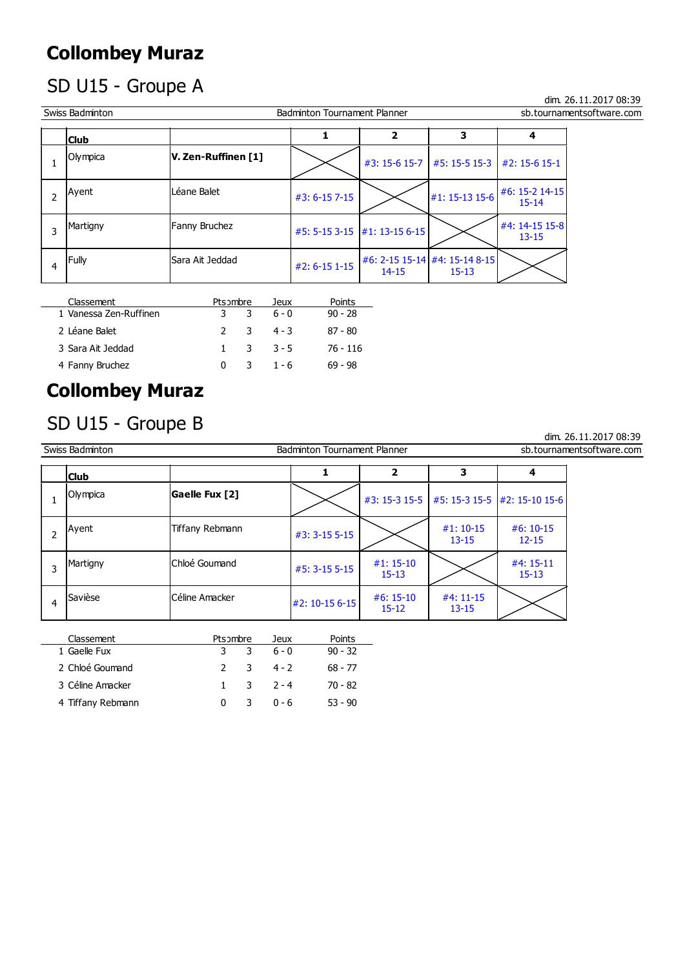#### Collombey Muraz

## SD U15 - Groupe A

 Swiss Badminton Badminton Tournament Planner sb.tournamentsoftware.com 1 Olympica **V. Zen-Ruffinen [1]**  $\left| \bigvee \bigvee \bigwedge_{\#3: 15-6 \; 15-7} \big|_{\#5: 15-5 \; 15-3} \big|_{\#2: 15-6 \; 15-1}$ Ayent  $\left| \begin{array}{c} \text{Leáne Balet} \end{array} \right|$   $\left| \begin{array}{c} \text{#3: 6-15 7-15} \end{array} \right|$   $\left| \begin{array}{c} \text{#1: 15-13 15-6} \end{array} \right|$   $\left| \begin{array}{c} \text{#6: 15-2 14-15} \end{array} \right|$ 2  $\left| \begin{array}{c} \text{43: } 6-15 \, 7-15 \\ \text{45: } 6-15 \, 7-15 \end{array} \right|$   $\left| \begin{array}{c} \text{41: } 15-13 \, 15-6 \\ \text{42: } 15-14 \end{array} \right|$ Martigny Fanny Bruchez  $\frac{45}{12}$  5-15 3-15  $\frac{41}{13}$  13-15 6-15  $\frac{44}{13}$  15  $\frac{15}{15}$ 3 |  $\left| \begin{array}{c} \text{max}_{11} \\ \text{max}_{12} \\ \text{max}_{13} \end{array} \right|$  +5: 5-15 3-15  $\left| \begin{array}{c} \text{min}_{11} \\ \text{min}_{12} \\ \text{max}_{13} \end{array} \right|$  +1: 13-15 6-15 Fully Sara Ait Jeddad  $\frac{42}{1.6}$  = 6-15 1-15  $\frac{16}{1.4}$  = 15-14  $\frac{44}{15}$  = 12 12 14-15 | 15-13 4  $\left| \begin{matrix} \text{Fully} \\ \text{Fully} \end{matrix} \right|$  Sara Ait Jeddad  $\left| \begin{matrix} \#2:6-15 \ 1-15 \end{matrix} \right|$  $\begin{array}{|c|c|c|c|c|c|}\hline \text{Club} & & & 1 & 2 & 3 & 4 \ \hline \end{array}$ 

| Classement             | Pts ombre    |     | Jeux                  | Points    |
|------------------------|--------------|-----|-----------------------|-----------|
| 1 Vanessa Zen-Ruffinen |              | 3 3 | . 6 - 0               | $90 - 28$ |
| 2 Léane Balet          |              |     | $2 \t3 \t4 - 3$       | 87 - 80   |
| 3 Sara Ait Jeddad      |              |     | $1 \quad 3 \quad 3-5$ | 76 - 116  |
| 4 Fanny Bruchez        | $\mathbf{0}$ | 3   | $1 - 6$               | 69 - 98   |

#### Collombey Muraz

#### SD U15 - Groupe B

dim. 26.11.2017 08:39

dim. 26.11.2017 08:39

|   | Swiss Badminton |                 | <b>Badminton Tournament Planner</b> |                          |                          | sb.tournamentsoftware.com                  |  |
|---|-----------------|-----------------|-------------------------------------|--------------------------|--------------------------|--------------------------------------------|--|
|   | <b>Club</b>     |                 |                                     |                          | 3                        | 4                                          |  |
|   | Olympica        | Gaelle Fux [2]  |                                     |                          |                          | #3: 15-3 15-5 #5: 15-3 15-5 #2: 15-10 15-6 |  |
|   | Ayent           | Tiffany Rebmann | $#3: 3-15 5-15$                     |                          | $#1: 10-15$<br>$13 - 15$ | $#6:10-15$<br>$12 - 15$                    |  |
| 3 | Martigny        | Chloé Goumand   | $#5: 3-15 5-15$                     | $#1: 15-10$<br>$15 - 13$ |                          | #4: 15-11<br>$15 - 13$                     |  |
| 4 | Savièse         | Céline Amacker  | #2: 10-15 6-15                      | $#6:15-10$<br>$15 - 12$  | $#4:11-15$<br>$13 - 15$  |                                            |  |

| Classement        | Pts ombre | Jeux                  | Points    |
|-------------------|-----------|-----------------------|-----------|
| 1 Gaelle Fux      |           | 3 3 6-0               | $90 - 32$ |
| 2 Chloé Goumand   |           | 2 3 4-2               | 68 - 77   |
| 3 Céline Amacker  |           | $1 \quad 3 \quad 2-4$ | 70 - 82   |
| 4 Tiffany Rebmann | 0         | $30 - 6$              | $53 - 90$ |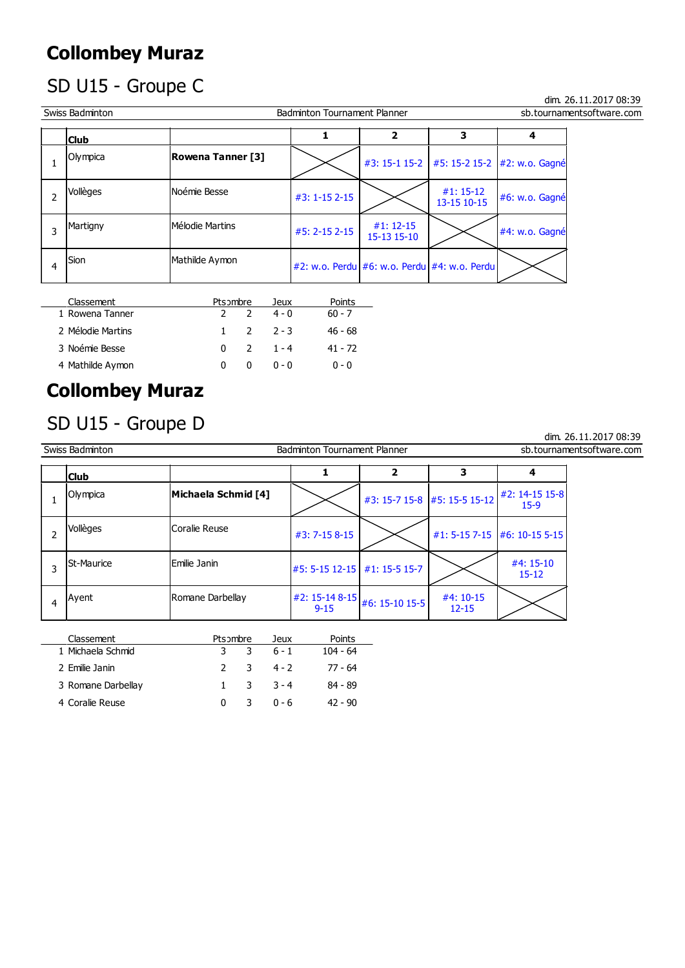#### Collombey Muraz

# SD U15 - Groupe C

dim. 26.11.2017 08:39

| Swiss Badminton |                          | <b>Badminton Tournament Planner</b> |                                              |                                                | sb.tournamentsoftware.com |
|-----------------|--------------------------|-------------------------------------|----------------------------------------------|------------------------------------------------|---------------------------|
| <b>Club</b>     |                          |                                     |                                              | 3                                              |                           |
| Olympica        | <b>Rowena Tanner [3]</b> |                                     |                                              | #3: 15-1 15-2   #5: 15-2 15-2   #2: w.o. Gagné |                           |
| Vollèges        | Noémie Besse             | #3: 1-15 2-15                       |                                              | $#1: 15-12$<br>13-15 10-15                     | #6: w.o. Gagné            |
| Martigny        | Mélodie Martins          | #5: 2-15 2-15                       | $#1: 12-15$<br>15-13 15-10                   |                                                | #4: w.o. Gagné            |
| Sion<br>4       | Mathilde Aymon           |                                     | #2: w.o. Perdu #6: w.o. Perdu #4: w.o. Perdu |                                                |                           |

| Classement        | Pts ombre      |   | Jeux                  | Points   |
|-------------------|----------------|---|-----------------------|----------|
| 1 Rowena Tanner   | 2 <sub>2</sub> |   | $4 - 0$               | $60 - 7$ |
| 2 Mélodie Martins |                |   | $1 \quad 2 \quad 2-3$ | 46 - 68  |
| 3 Noémie Besse    |                |   | $0 \quad 2 \quad 1-4$ | 41 - 72  |
| 4 Mathilde Aymon  | <sup>0</sup>   | 0 | ი - ი                 | $0 - 0$  |

## Collombey Muraz

#### SD U15 - Groupe D

dim. 26.11.2017 08:39

|   | Swiss Badminton   |                     | <b>Badminton Tournament Planner</b>          |                              |                              | sb.tournamentsoftware.com |
|---|-------------------|---------------------|----------------------------------------------|------------------------------|------------------------------|---------------------------|
|   | <b>Club</b>       |                     |                                              |                              |                              |                           |
|   | Olympica          | Michaela Schmid [4] |                                              | #3: 15-7 15-8 #5: 15-5 15-12 | $#2: 14-15 15-8$<br>$15-9$   |                           |
|   | Vollèges          | Coralie Reuse       | #3: 7-15 8-15                                |                              | #1: 5-15 7-15 #6: 10-15 5-15 |                           |
| 3 | <b>St-Maurice</b> | Emilie Janin        | #5: 5-15 12-15 #1: 15-5 15-7                 |                              | #4: 15-10<br>$15 - 12$       |                           |
| 4 | Ayent             | Romane Darbellay    | $ #2: 15-148-15 $ #6: 15-10 15-5<br>$9 - 15$ | #4: 10-15<br>$12 - 15$       |                              |                           |

| Classement         | Pts ombre | Jeux                  | Points   |
|--------------------|-----------|-----------------------|----------|
| 1 Michaela Schmid  |           | $3 \t3 \t6-1$         | 104 - 64 |
| 2 Emilie Janin     |           | $2 \t3 \t4 - 2$       | 77 - 64  |
| 3 Romane Darbellay |           | $1 \quad 3 \quad 3-4$ | 84 - 89  |
| 4 Coralie Reuse    |           | $0 - 6$               | 42 - 90  |